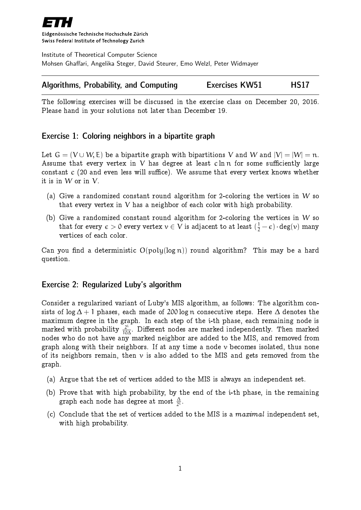

Eidgenössische Technische Hochschule Zürich Swiss Federal Institute of Technology Zurich

Institute of Theoretical Computer Science Mohsen Ghaffari, Angelika Steger, David Steurer, Emo Welzl, Peter Widmayer

# Algorithms, Probability, and Computing Exercises KW51 HS17

The following exercises will be discussed in the exercise class on December 20, 2016. Please hand in your solutions not later than December 19.

## Exercise 1: Coloring neighbors in a bipartite graph

Let  $G = (V \cup W, E)$  be a bipartite graph with bipartitions V and W and  $|V| = |W| = n$ . Assume that every vertex in  $V$  has degree at least  $c \ln n$  for some sufficiently large constant  $c$  (20 and even less will suffice). We assume that every vertex knows whether it is in W or in V.

- (a) Give a randomized constant round algorithm for 2-coloring the vertices in W so that every vertex in V has a neighbor of each color with high probability.
- (b) Give a randomized constant round algorithm for 2-coloring the vertices in W so that for every  $\epsilon > 0$  every vertex  $\upsilon \in \mathrm{V}$  is adjacent to at least  $(\frac{1}{2}-\epsilon) \cdot \deg(\nu)$  many vertices of each color.

Can you find a deterministic  $O(poly(log n))$  round algorithm? This may be a hard question.

## Exercise 2: Regularized Luby's algorithm

Consider a regularized variant of Luby's MIS algorithm, as follows: The algorithm consists of log  $\Delta + 1$  phases, each made of 200 log n consecutive steps. Here  $\Delta$  denotes the maximum degree in the graph. In each step of the i-th phase, each remaining node is marked with probability  $\frac{2^{i}}{10\Delta}$ . Different nodes are marked independently. Then marked nodes who do not have any marked neighbor are added to the MIS, and removed from graph along with their neighbors. If at any time a node  $\nu$  becomes isolated, thus none of its neighbors remain, then  $\nu$  is also added to the MIS and gets removed from the graph.

- (a) Argue that the set of vertices added to the MIS is always an independent set.
- (b) Prove that with high probability, by the end of the i-th phase, in the remaining graph each node has degree at most  $\frac{\Delta}{2^i}.$
- (c) Conclude that the set of vertices added to the MIS is a  $\textit{maximal}$  independent set, with high probability.